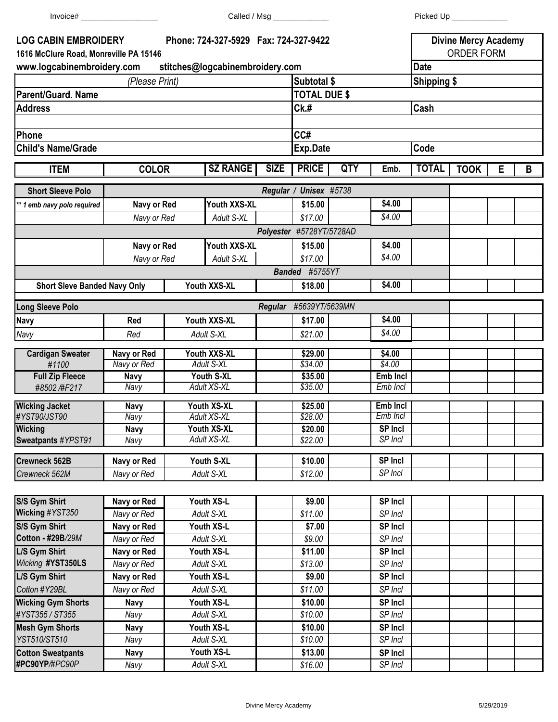| $Invoice\#$                                                           |                                 |                    |                                       |             |                          |            |                 |              |                                                  |   |   |  |
|-----------------------------------------------------------------------|---------------------------------|--------------------|---------------------------------------|-------------|--------------------------|------------|-----------------|--------------|--------------------------------------------------|---|---|--|
| <b>LOG CABIN EMBROIDERY</b><br>1616 McClure Road, Monreville PA 15146 |                                 |                    | Phone: 724-327-5929 Fax: 724-327-9422 |             |                          |            |                 |              | <b>Divine Mercy Academy</b><br><b>ORDER FORM</b> |   |   |  |
| www.logcabinembroidery.com                                            | stitches@logcabinembroidery.com |                    |                                       |             | <b>Date</b>              |            |                 |              |                                                  |   |   |  |
|                                                                       |                                 | Subtotal \$        |                                       |             | <b>Shipping \$</b>       |            |                 |              |                                                  |   |   |  |
| <b>Parent/Guard. Name</b>                                             | (Please Print)                  |                    |                                       |             | <b>TOTAL DUE \$</b>      |            |                 |              |                                                  |   |   |  |
| <b>Address</b>                                                        |                                 |                    |                                       |             | Ck.#                     |            |                 | Cash         |                                                  |   |   |  |
|                                                                       |                                 |                    |                                       |             |                          |            |                 |              |                                                  |   |   |  |
| <b>Phone</b>                                                          |                                 |                    |                                       |             | CC#                      |            |                 |              |                                                  |   |   |  |
| <b>Child's Name/Grade</b>                                             |                                 |                    |                                       |             | Code<br><b>Exp.Date</b>  |            |                 |              |                                                  |   |   |  |
|                                                                       |                                 |                    |                                       |             |                          |            |                 |              |                                                  |   |   |  |
| <b>ITEM</b>                                                           | <b>COLOR</b>                    |                    | <b>SZ RANGE</b>                       | <b>SIZE</b> | <b>PRICE</b>             | <b>QTY</b> | Emb.            | <b>TOTAL</b> | <b>TOOK</b>                                      | Е | B |  |
| <b>Short Sleeve Polo</b>                                              |                                 |                    |                                       |             | Regular / Unisex #5738   |            |                 |              |                                                  |   |   |  |
| ** 1 emb navy polo required                                           | Navy or Red                     |                    | Youth XXS-XL                          |             | \$15.00                  |            | \$4.00          |              |                                                  |   |   |  |
|                                                                       | Navy or Red                     |                    | Adult S-XL                            |             | \$17.00                  |            | $\sqrt{$4.00}$  |              |                                                  |   |   |  |
|                                                                       |                                 |                    |                                       |             | Polyester #5728YT/5728AD |            |                 |              |                                                  |   |   |  |
|                                                                       | Navy or Red                     |                    | Youth XXS-XL                          |             | \$15.00                  |            | \$4.00          |              |                                                  |   |   |  |
|                                                                       |                                 | Navy or Red        |                                       |             | \$17.00                  |            | \$4.00          |              |                                                  |   |   |  |
|                                                                       |                                 |                    | Adult S-XL                            |             | Banded #5755YT           |            |                 |              |                                                  |   |   |  |
| <b>Short Sleve Banded Navy Only</b>                                   |                                 |                    | Youth XXS-XL                          |             | \$18.00                  |            | \$4.00          |              |                                                  |   |   |  |
| <b>Long Sleeve Polo</b>                                               |                                 |                    |                                       |             | Regular #5639YT/5639MN   |            |                 |              |                                                  |   |   |  |
| Navy                                                                  | Red                             |                    | Youth XXS-XL                          |             | \$17.00                  |            | \$4.00          |              |                                                  |   |   |  |
| Navy                                                                  | Red                             |                    | Adult S-XL                            |             | \$21.00                  |            | \$4.00          |              |                                                  |   |   |  |
| <b>Cardigan Sweater</b>                                               | Navy or Red                     |                    | Youth XXS-XL                          |             | \$29.00                  |            | \$4.00          |              |                                                  |   |   |  |
| #1100                                                                 | Navy or Red                     | <b>Adult S-XL</b>  |                                       |             | \$34.00                  |            | \$4.00          |              |                                                  |   |   |  |
| <b>Full Zip Fleece</b>                                                | <b>Navy</b>                     | Youth S-XL         |                                       |             | \$35.00                  |            | <b>Emb Incl</b> |              |                                                  |   |   |  |
| #8502 /#F217                                                          | Navy                            | <b>Adult XS-XL</b> |                                       |             | \$35.00                  |            | Emb Incl        |              |                                                  |   |   |  |
| <b>Wicking Jacket</b>                                                 | <b>Navy</b>                     |                    | Youth XS-XL                           |             | \$25.00                  |            | Emb Incl        |              |                                                  |   |   |  |
| #YST90/JST90                                                          | Navy                            |                    | <b>Adult XS-XL</b>                    |             | \$28.00                  |            | Emb Incl        |              |                                                  |   |   |  |
| <b>Wicking</b>                                                        | <b>Navy</b>                     | Youth XS-XL        |                                       |             | \$20.00                  |            | <b>SP Incl</b>  |              |                                                  |   |   |  |
| Sweatpants #YPST91                                                    | Navy                            | <b>Adult XS-XL</b> |                                       |             | \$22.00                  |            | SP Incl         |              |                                                  |   |   |  |
| Crewneck 562B                                                         | Navy or Red                     |                    | Youth S-XL                            |             | \$10.00                  |            | <b>SP Incl</b>  |              |                                                  |   |   |  |
| Crewneck 562M                                                         | Navy or Red                     |                    | Adult S-XL                            |             | \$12.00                  |            | SP Incl         |              |                                                  |   |   |  |
|                                                                       |                                 |                    |                                       |             |                          |            |                 |              |                                                  |   |   |  |
| S/S Gym Shirt                                                         | Navy or Red                     | Youth XS-L         |                                       |             | \$9.00                   |            | SP Incl         |              |                                                  |   |   |  |
| Wicking #YST350                                                       | Navy or Red                     |                    | Adult S-XL                            |             | \$11.00                  |            | SP Incl         |              |                                                  |   |   |  |
| S/S Gym Shirt                                                         | <b>Navy or Red</b>              |                    | Youth XS-L                            |             | \$7.00                   |            | SP Incl         |              |                                                  |   |   |  |
| Cotton - #29B/29M                                                     | Navy or Red                     |                    | Adult S-XL                            |             | \$9.00                   |            | SP Incl         |              |                                                  |   |   |  |
| L/S Gym Shirt                                                         | Navy or Red                     |                    | Youth XS-L                            |             | \$11.00                  |            | SP Incl         |              |                                                  |   |   |  |
| Wicking #YST350LS                                                     | Navy or Red                     |                    | Adult S-XL                            |             | \$13.00                  |            | SP Incl         |              |                                                  |   |   |  |
| L/S Gym Shirt                                                         | Navy or Red                     |                    | Youth XS-L                            |             | \$9.00                   |            | SP Incl         |              |                                                  |   |   |  |
| Cotton #Y29BL                                                         | Navy or Red                     |                    | Adult S-XL                            |             | \$11.00                  |            | SP Incl         |              |                                                  |   |   |  |
| Wicking Cum Shorts                                                    | <b>Nove</b>                     |                    | Vouth VC I                            |             | <b>C10.00</b>            |            | <b>CD Inol</b>  |              |                                                  |   |   |  |